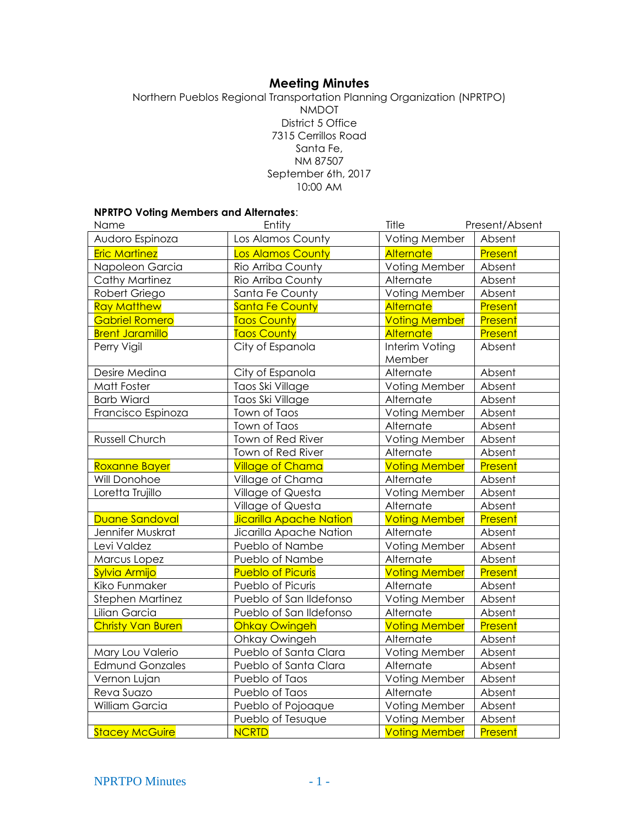## **Meeting Minutes**

Northern Pueblos Regional Transportation Planning Organization (NPRTPO) NMDOT District 5 Office 7315 Cerrillos Road Santa Fe, NM 87507 September 6th, 2017 10:00 AM

#### **NPRTPO Voting Members and Alternates**:

| Name                     | Entity                         | Title                    | Present/Absent |
|--------------------------|--------------------------------|--------------------------|----------------|
| Audoro Espinoza          | Los Alamos County              | Voting Member            | Absent         |
| <b>Eric Martinez</b>     | <b>Los Alamos County</b>       | Alternate                | Present        |
| Napoleon Garcia          | Rio Arriba County              | Voting Member            | Absent         |
| <b>Cathy Martinez</b>    | Rio Arriba County              | Alternate                | Absent         |
| Robert Griego            | Santa Fe County                | Voting Member            | Absent         |
| <b>Ray Matthew</b>       | <b>Santa Fe County</b>         | Alternate                | Present        |
| <b>Gabriel Romero</b>    | <b>Taos County</b>             | <b>Voting Member</b>     | Present        |
| <b>Brent Jaramillo</b>   | <b>Taos County</b>             | Alternate                | Present        |
| Perry Vigil              | City of Espanola               | Interim Voting<br>Member | Absent         |
| Desire Medina            | City of Espanola               | Alternate                | Absent         |
| Matt Foster              | Taos Ski Village               | Voting Member            | Absent         |
| <b>Barb Wiard</b>        | Taos Ski Village               | Alternate                | Absent         |
| Francisco Espinoza       | Town of Taos                   | Voting Member            | Absent         |
|                          | Town of Taos                   | Alternate                | Absent         |
| Russell Church           | Town of Red River              | Voting Member            | Absent         |
|                          | Town of Red River              | Alternate                | Absent         |
| Roxanne Bayer            | <b>Village of Chama</b>        | <b>Voting Member</b>     | Present        |
| Will Donohoe             | Village of Chama               | Alternate                | Absent         |
| Loretta Trujillo         | Village of Questa              | Voting Member            | Absent         |
|                          | Village of Questa              | Alternate                | Absent         |
| <b>Duane Sandoval</b>    | <b>Jicarilla Apache Nation</b> | <b>Voting Member</b>     | Present        |
| Jennifer Muskrat         | Jicarilla Apache Nation        | Alternate                | Absent         |
| Levi Valdez              | Pueblo of Nambe                | Voting Member            | Absent         |
| Marcus Lopez             | Pueblo of Nambe                | Alternate                | Absent         |
| Sylvia Armijo            | <b>Pueblo of Picuris</b>       | <b>Voting Member</b>     | Present        |
| Kiko Funmaker            | Pueblo of Picuris              | Alternate                | Absent         |
| Stephen Martinez         | Pueblo of San Ildefonso        | Voting Member            | Absent         |
| Lilian Garcia            | Pueblo of San Ildefonso        | Alternate                | Absent         |
| <b>Christy Van Buren</b> | <b>Ohkay Owingeh</b>           | <b>Voting Member</b>     | Present        |
|                          | Ohkay Owingeh                  | Alternate                | Absent         |
| Mary Lou Valerio         | Pueblo of Santa Clara          | Voting Member            | Absent         |
| <b>Edmund Gonzales</b>   | Pueblo of Santa Clara          | Alternate                | Absent         |
| Vernon Lujan             | Pueblo of Taos                 | Voting Member            | Absent         |
| Reva Suazo               | Pueblo of Taos                 | Alternate                | Absent         |
| William Garcia           | Pueblo of Pojoaque             | Voting Member            | Absent         |
|                          | Pueblo of Tesuque              | Voting Member            | Absent         |
| <b>Stacey McGuire</b>    | <b>NCRTD</b>                   | <b>Voting Member</b>     | Present        |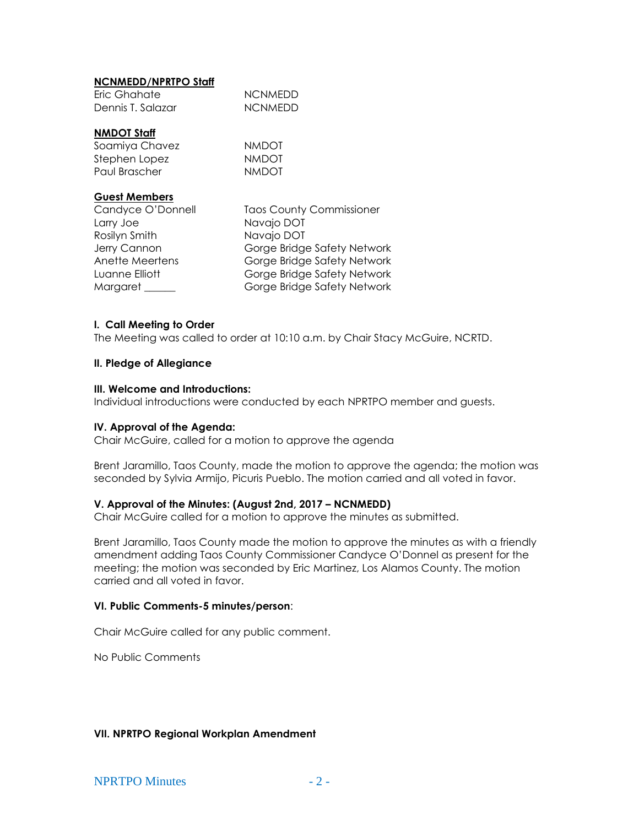# **NCNMEDD/NPRTPO Staff**

| ALLAN AT ALL II   |                |
|-------------------|----------------|
| Dennis T. Salazar | <b>NCNMEDD</b> |
| Eric Ghahate      | <b>NCNMEDD</b> |

## **NMDOT Staff**

| Soamiya Chavez | <b>NMDOT</b> |
|----------------|--------------|
| Stephen Lopez  | NMDOT        |
| Paul Brascher  | NMDOT        |

## **Guest Members**

Larry Joe Navajo DOT Rosilyn Smith Navajo DOT

Candyce O'Donnell Taos County Commissioner Jerry Cannon Gorge Bridge Safety Network Anette Meertens Gorge Bridge Safety Network Luanne Elliott Gorge Bridge Safety Network Margaret \_\_\_\_\_\_\_\_\_\_\_\_\_\_\_\_\_Gorge Bridge Safety Network

## **I. Call Meeting to Order**

The Meeting was called to order at 10:10 a.m. by Chair Stacy McGuire, NCRTD.

## **II. Pledge of Allegiance**

## **III. Welcome and Introductions:**

Individual introductions were conducted by each NPRTPO member and guests.

## **IV. Approval of the Agenda:**

Chair McGuire, called for a motion to approve the agenda

Brent Jaramillo, Taos County, made the motion to approve the agenda; the motion was seconded by Sylvia Armijo, Picuris Pueblo. The motion carried and all voted in favor.

## **V. Approval of the Minutes: (August 2nd, 2017 – NCNMEDD)**

Chair McGuire called for a motion to approve the minutes as submitted.

Brent Jaramillo, Taos County made the motion to approve the minutes as with a friendly amendment adding Taos County Commissioner Candyce O'Donnel as present for the meeting; the motion was seconded by Eric Martinez, Los Alamos County. The motion carried and all voted in favor.

## **VI. Public Comments-5 minutes/person**:

Chair McGuire called for any public comment.

No Public Comments

## **VII. NPRTPO Regional Workplan Amendment**